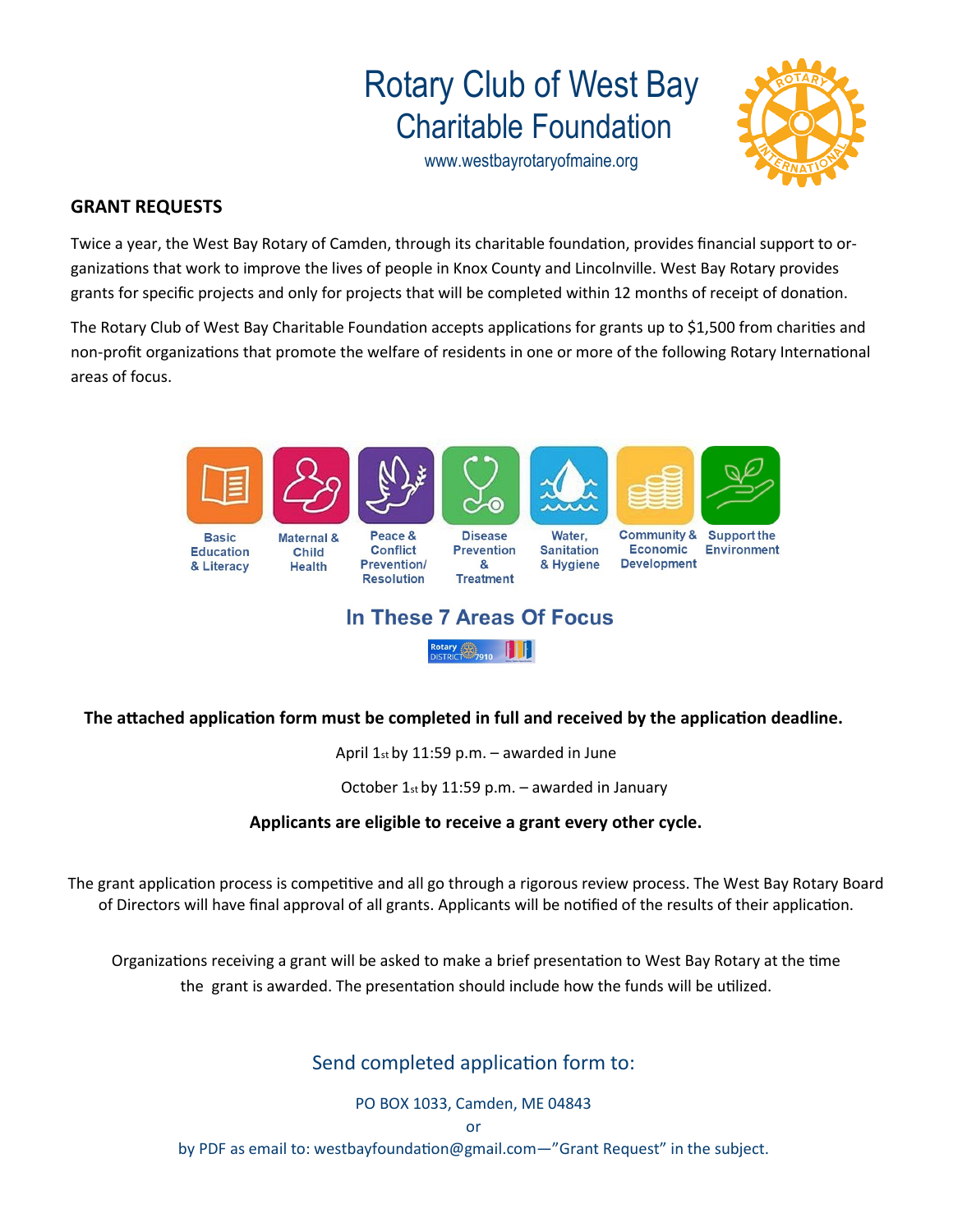# Rotary Club of West Bay Charitable Foundation

www.westbayrotaryofmaine.org



#### **GRANT REQUESTS**

Twice a year, the West Bay Rotary of Camden, through its charitable foundation, provides financial support to organizations that work to improve the lives of people in Knox County and Lincolnville. West Bay Rotary provides grants for specific projects and only for projects that will be completed within 12 months of receipt of donation.

The Rotary Club of West Bay Charitable Foundation accepts applications for grants up to \$1,500 from charities and non-profit organizations that promote the welfare of residents in one or more of the following Rotary International areas of focus.



## In These 7 Areas Of Focus

Rotary  $\bigoplus_{D|S|TR| \subset T} \bigoplus_{P \ni 0} \bigoplus_{D|S|T} \bigoplus_{P \in T} \bigoplus_{P \in S} \bigoplus_{P \in S} \bigoplus_{P \in S} \bigoplus_{P \in S} \bigoplus_{P \in S} \bigoplus_{P \in S} \bigoplus_{P \in S} \bigoplus_{P \in S} \bigoplus_{P \in S} \bigoplus_{P \in S} \bigoplus_{P \in S} \bigoplus_{P \in S} \bigoplus_{P \in S} \bigoplus_{P \in S} \bigoplus_{P \in S} \bigoplus_{P \in S} \bigoplus_{$ 

**The attached application form must be completed in full and received by the application deadline.**

April  $1<sub>st</sub>$  by 11:59 p.m. – awarded in June

October 1st by 11:59 p.m. – awarded in January

#### **Applicants are eligible to receive a grant every other cycle.**

The grant application process is competitive and all go through a rigorous review process. The West Bay Rotary Board of Directors will have final approval of all grants. Applicants will be notified of the results of their application.

Organizations receiving a grant will be asked to make a brief presentation to West Bay Rotary at the time the grant is awarded. The presentation should include how the funds will be utilized.

Send completed application form to:

PO BOX 1033, Camden, ME 04843

or

by PDF as email to: westbayfoundation@gmail.com—"Grant Request" in the subject.